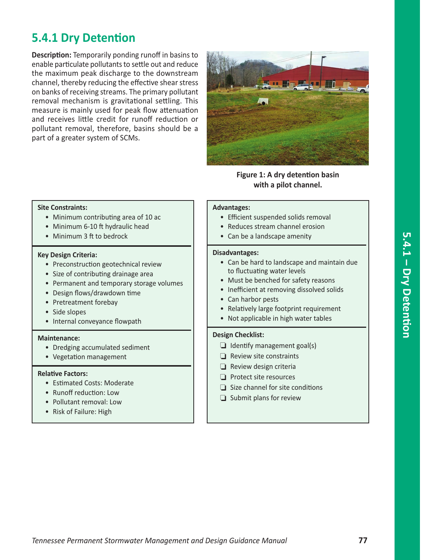# **5.4.1 Dry Detention**

**Description:** Temporarily ponding runoff in basins to enable particulate pollutants to settle out and reduce the maximum peak discharge to the downstream channel, thereby reducing the effective shear stress on banks of receiving streams. The primary pollutant removal mechanism is gravitational settling. This measure is mainly used for peak flow attenuation and receives little credit for runoff reduction or pollutant removal, therefore, basins should be a part of a greater system of SCMs.



**Figure 1: A dry detention basin with a pilot channel.**

#### **Site Constraints:**

- Minimum contributing area of 10 ac
- Minimum 6-10 ft hydraulic head
- Minimum 3 ft to bedrock

#### **Key Design Criteria:**

- Preconstruction geotechnical review
- Size of contributing drainage area
- Permanent and temporary storage volumes
- Design flows/drawdown time
- Pretreatment forebay
- Side slopes
- Internal conveyance flowpath

#### **Maintenance:**

- Dredging accumulated sediment
- Vegetation management

#### **Relative Factors:**

- Estimated Costs: Moderate
- Runoff reduction: Low
- Pollutant removal: Low
- Risk of Failure: High

### **Advantages:**

- Efficient suspended solids removal
- Reduces stream channel erosion
- Can be a landscape amenity

#### **Disadvantages:**

- Can be hard to landscape and maintain due to fluctuating water levels
- Must be benched for safety reasons
- Inefficient at removing dissolved solids
- Can harbor pests
- Relatively large footprint requirement
- Not applicable in high water tables

#### **Design Checklist:**

- $\Box$  Identify management goal(s)
- $\Box$  Review site constraints
- $\Box$  Review design criteria
- $\Box$  Protect site resources
- $\Box$  Size channel for site conditions
- $\Box$  Submit plans for review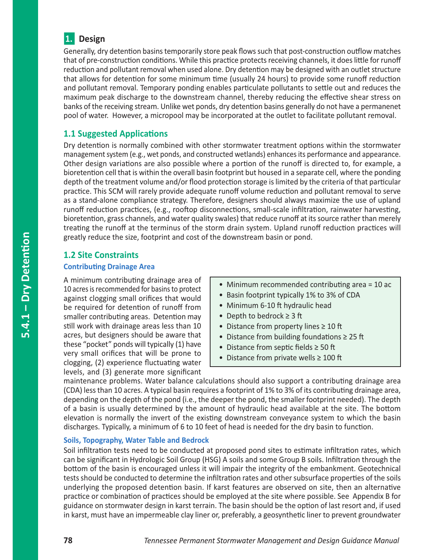

Generally, dry detention basins temporarily store peak flows such that post-construction outflow matches that of pre-construction conditions. While this practice protects receiving channels, it does little for runoff reduction and pollutant removal when used alone. Dry detention may be designed with an outlet structure that allows for detention for some minimum time (usually 24 hours) to provide some runoff reduction and pollutant removal. Temporary ponding enables particulate pollutants to settle out and reduces the maximum peak discharge to the downstream channel, thereby reducing the effective shear stress on banks of the receiving stream. Unlike wet ponds, dry detention basins generally do not have a permanenet pool of water. However, a micropool may be incorporated at the outlet to facilitate pollutant removal.

# **1.1 Suggested Applications**

Dry detention is normally combined with other stormwater treatment options within the stormwater management system (e.g., wet ponds, and constructed wetlands) enhances its performance and appearance. Other design variations are also possible where a portion of the runoff is directed to, for example, a bioretention cell that is within the overall basin footprint but housed in a separate cell, where the ponding depth of the treatment volume and/or flood protection storage is limited by the criteria of that particular practice. This SCM will rarely provide adequate runoff volume reduction and pollutant removal to serve as a stand-alone compliance strategy. Therefore, designers should always maximize the use of upland runoff reduction practices, (e.g., rooftop disconnections, small-scale infiltration, rainwater harvesting, bioretention, grass channels, and water quality swales) that reduce runoff at its source rather than merely treating the runoff at the terminus of the storm drain system. Upland runoff reduction practices will greatly reduce the size, footprint and cost of the downstream basin or pond.

# **1.2 Site Constraints Contributing Drainage Area**

A minimum contributing drainage area of 10 acres is recommended for basins to protect against clogging small orifices that would be required for detention of runoff from smaller contributing areas. Detention may still work with drainage areas less than 10 acres, but designers should be aware that these "pocket" ponds will typically (1) have very small orifices that will be prone to clogging, (2) experience fluctuating water levels, and (3) generate more significant

- Minimum recommended contributing area = 10 ac
- Basin footprint typically 1% to 3% of CDA
- Minimum 6-10 ft hydraulic head
- Depth to bedrock ≥ 3 ft
- Distance from property lines ≥ 10 ft
- Distance from building foundations ≥ 25 ft
- Distance from septic fields ≥ 50 ft
- Distance from private wells ≥ 100 ft

maintenance problems. Water balance calculations should also support a contributing drainage area (CDA) less than 10 acres. A typical basin requires a footprint of 1% to 3% of its contributing drainage area, depending on the depth of the pond (i.e., the deeper the pond, the smaller footprint needed). The depth of a basin is usually determined by the amount of hydraulic head available at the site. The bottom elevation is normally the invert of the existing downstream conveyance system to which the basin discharges. Typically, a minimum of 6 to 10 feet of head is needed for the dry basin to function.

#### **Soils, Topography, Water Table and Bedrock**

Soil infiltration tests need to be conducted at proposed pond sites to estimate infiltration rates, which can be significant in Hydrologic Soil Group (HSG) A soils and some Group B soils. Infiltration through the bottom of the basin is encouraged unless it will impair the integrity of the embankment. Geotechnical tests should be conducted to determine the infiltration rates and other subsurface properties of the soils underlying the proposed detention basin. If karst features are observed on site, then an alternative practice or combination of practices should be employed at the site where possible. See Appendix B for guidance on stormwater design in karst terrain. The basin should be the option of last resort and, if used in karst, must have an impermeable clay liner or, preferably, a geosynthetic liner to prevent groundwater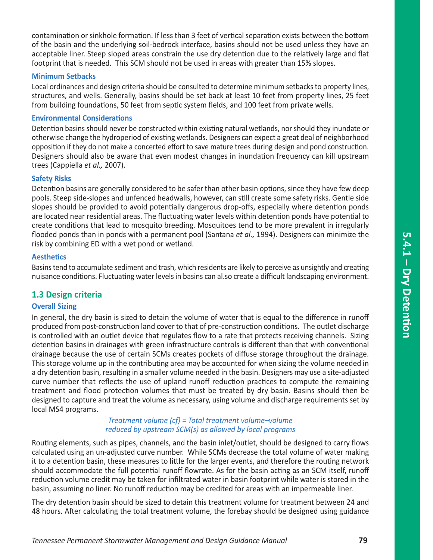contamination or sinkhole formation. If less than 3 feet of vertical separation exists between the bottom of the basin and the underlying soil-bedrock interface, basins should not be used unless they have an acceptable liner. Steep sloped areas constrain the use dry detention due to the relatively large and flat footprint that is needed. This SCM should not be used in areas with greater than 15% slopes.

#### **Minimum Setbacks**

Local ordinances and design criteria should be consulted to determine minimum setbacks to property lines, structures, and wells. Generally, basins should be set back at least 10 feet from property lines, 25 feet from building foundations, 50 feet from septic system fields, and 100 feet from private wells.

#### **Environmental Considerations**

Detention basins should never be constructed within existing natural wetlands, nor should they inundate or otherwise change the hydroperiod of existing wetlands. Designers can expect a great deal of neighborhood opposition if they do not make a concerted effort to save mature trees during design and pond construction. Designers should also be aware that even modest changes in inundation frequency can kill upstream trees (Cappiella *et al.,* 2007).

#### **Safety Risks**

Detention basins are generally considered to be safer than other basin options, since they have few deep pools. Steep side-slopes and unfenced headwalls, however, can still create some safety risks. Gentle side slopes should be provided to avoid potentially dangerous drop-offs, especially where detention ponds are located near residential areas. The fluctuating water levels within detention ponds have potential to create conditions that lead to mosquito breeding. Mosquitoes tend to be more prevalent in irregularly flooded ponds than in ponds with a permanent pool (Santana *et al.,* 1994). Designers can minimize the risk by combining ED with a wet pond or wetland.

#### **Aesthetics**

Basins tend to accumulate sediment and trash, which residents are likely to perceive as unsightly and creating nuisance conditions. Fluctuating water levels in basins can al.so create a difficult landscaping environment.

### **1.3 Design criteria**

#### **Overall Sizing**

In general, the dry basin is sized to detain the volume of water that is equal to the difference in runoff produced from post-construction land cover to that of pre-construction conditions. The outlet discharge is controlled with an outlet device that regulates flow to a rate that protects receiving channels. Sizing detention basins in drainages with green infrastructure controls is different than that with conventional drainage because the use of certain SCMs creates pockets of diffuse storage throughout the drainage. This storage volume up in the contributing area may be accounted for when sizing the volume needed in a dry detention basin, resulting in a smaller volume needed in the basin. Designers may use a site-adjusted curve number that reflects the use of upland runoff reduction practices to compute the remaining treatment and flood protection volumes that must be treated by dry basin. Basins should then be designed to capture and treat the volume as necessary, using volume and discharge requirements set by local MS4 programs.

#### *Treatment volume (cf) = Total treatment volume–volume reduced by upstream SCM(s) as allowed by local programs*

Routing elements, such as pipes, channels, and the basin inlet/outlet, should be designed to carry flows calculated using an un-adjusted curve number. While SCMs decrease the total volume of water making it to a detention basin, these measures to little for the larger events, and therefore the routing network should accommodate the full potential runoff flowrate. As for the basin acting as an SCM itself, runoff reduction volume credit may be taken for infiltrated water in basin footprint while water is stored in the basin, assuming no liner. No runoff reduction may be credited for areas with an impermeable liner.

The dry detention basin should be sized to detain this treatment volume for treatment between 24 and 48 hours. After calculating the total treatment volume, the forebay should be designed using guidance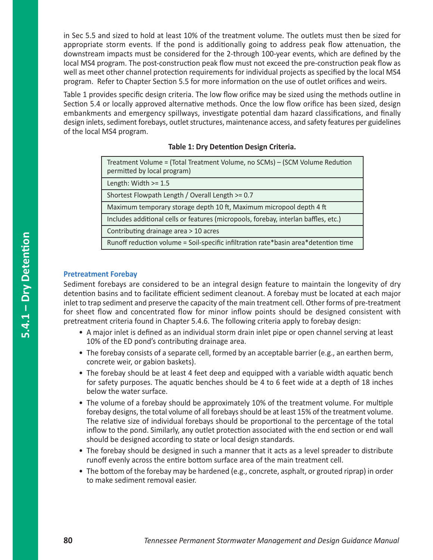in Sec 5.5 and sized to hold at least 10% of the treatment volume. The outlets must then be sized for appropriate storm events. If the pond is additionally going to address peak flow attenuation, the downstream impacts must be considered for the 2-through 100-year events, which are defined by the local MS4 program. The post-construction peak flow must not exceed the pre-construction peak flow as well as meet other channel protection requirements for individual projects as specified by the local MS4 program. Refer to Chapter Section 5.5 for more information on the use of outlet orifices and weirs.

Table 1 provides specific design criteria. The low flow orifice may be sized using the methods outline in Section 5.4 or locally approved alternative methods. Once the low flow orifice has been sized, design embankments and emergency spillways, investigate potential dam hazard classifications, and finally design inlets, sediment forebays, outlet structures, maintenance access, and safety features per guidelines of the local MS4 program.

#### **Table 1: Dry Detention Design Criteria.**

| Treatment Volume = (Total Treatment Volume, no SCMs) – (SCM Volume Redution |
|-----------------------------------------------------------------------------|
| permitted by local program)                                                 |

Length: Width >= 1.5

Shortest Flowpath Length / Overall Length >= 0.7

Maximum temporary storage depth 10 ft, Maximum micropool depth 4 ft

Includes additional cells or features (micropools, forebay, interlan baffles, etc.)

Contributing drainage area > 10 acres

Runoff reduction volume = Soil-specific infiltration rate\*basin area\*detention time

#### **Pretreatment Forebay**

Sediment forebays are considered to be an integral design feature to maintain the longevity of dry detention basins and to facilitate efficient sediment cleanout. A forebay must be located at each major inlet to trap sediment and preserve the capacity of the main treatment cell. Other forms of pre-treatment for sheet flow and concentrated flow for minor inflow points should be designed consistent with pretreatment criteria found in Chapter 5.4.6. The following criteria apply to forebay design:

- A major inlet is defined as an individual storm drain inlet pipe or open channel serving at least 10% of the ED pond's contributing drainage area.
- The forebay consists of a separate cell, formed by an acceptable barrier (e.g., an earthen berm, concrete weir, or gabion baskets).
- The forebay should be at least 4 feet deep and equipped with a variable width aquatic bench for safety purposes. The aquatic benches should be 4 to 6 feet wide at a depth of 18 inches below the water surface.
- The volume of a forebay should be approximately 10% of the treatment volume. For multiple forebay designs, the total volume of all forebays should be at least 15% of the treatment volume. The relative size of individual forebays should be proportional to the percentage of the total inflow to the pond. Similarly, any outlet protection associated with the end section or end wall should be designed according to state or local design standards.
- The forebay should be designed in such a manner that it acts as a level spreader to distribute runoff evenly across the entire bottom surface area of the main treatment cell.
- The bottom of the forebay may be hardened (e.g., concrete, asphalt, or grouted riprap) in order to make sediment removal easier.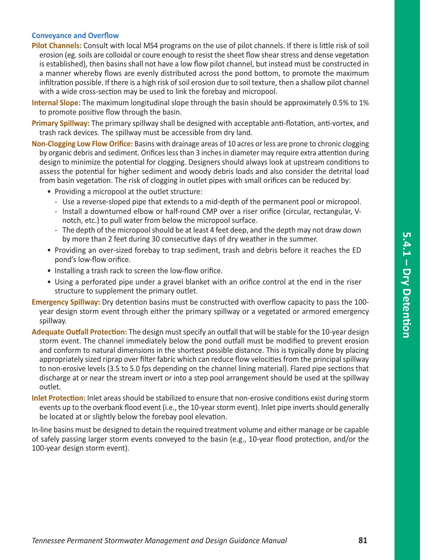#### **Conveyance and Overflow**

- **Pilot Channels:** Consult with local MS4 programs on the use of pilot channels. If there is little risk of soil erosion (eg. soils are colloidal or coure enough to resist the sheet flow shear stress and dense vegetation is established), then basins shall not have a low flow pilot channel, but instead must be constructed in a manner whereby flows are evenly distributed across the pond bottom, to promote the maximum infiltration possible. If there is a high risk of soil erosion due to soil texture, then a shallow pilot channel with a wide cross-section may be used to link the forebay and micropool.
- **Internal Slope:** The maximum longitudinal slope through the basin should be approximately 0.5% to 1% to promote positive flow through the basin.
- **Primary Spillway:** The primary spillway shall be designed with acceptable anti-flotation, anti-vortex, and trash rack devices. The spillway must be accessible from dry land.
- **Non-Clogging Low Flow Orifice:** Basins with drainage areas of 10 acres or less are prone to chronic clogging by organic debris and sediment. Orifices less than 3 inches in diameter may require extra attention during design to minimize the potential for clogging. Designers should always look at upstream conditions to assess the potential for higher sediment and woody debris loads and also consider the detrital load from basin vegetation. The risk of clogging in outlet pipes with small orifices can be reduced by:
	- Providing a micropool at the outlet structure:
		- Use a reverse-sloped pipe that extends to a mid-depth of the permanent pool or micropool.
		- Install a downturned elbow or half-round CMP over a riser orifice (circular, rectangular, Vnotch, etc.) to pull water from below the micropool surface.
		- The depth of the micropool should be at least 4 feet deep, and the depth may not draw down by more than 2 feet during 30 consecutive days of dry weather in the summer.
	- Providing an over-sized forebay to trap sediment, trash and debris before it reaches the ED pond's low-flow orifice.
	- Installing a trash rack to screen the low-flow orifice.
	- Using a perforated pipe under a gravel blanket with an orifice control at the end in the riser structure to supplement the primary outlet.
- **Emergency Spillway:** Dry detention basins must be constructed with overflow capacity to pass the 100 year design storm event through either the primary spillway or a vegetated or armored emergency spillway.
- **Adequate Outfall Protection:** The design must specify an outfall that will be stable for the 10-year design storm event. The channel immediately below the pond outfall must be modified to prevent erosion and conform to natural dimensions in the shortest possible distance. This is typically done by placing appropriately sized riprap over filter fabric which can reduce flow velocities from the principal spillway to non-erosive levels (3.5 to 5.0 fps depending on the channel lining material). Flared pipe sections that discharge at or near the stream invert or into a step pool arrangement should be used at the spillway outlet.
- **Inlet Protection:** Inlet areas should be stabilized to ensure that non-erosive conditions exist during storm events up to the overbank flood event (i.e., the 10-year storm event). Inlet pipe inverts should generally be located at or slightly below the forebay pool elevation.

In-line basins must be designed to detain the required treatment volume and either manage or be capable of safely passing larger storm events conveyed to the basin (e.g., 10-year flood protection, and/or the 100-year design storm event).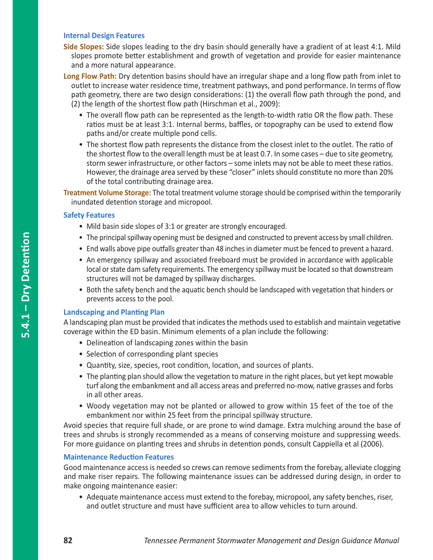#### **Internal Design Features**

- **Side Slopes:** Side slopes leading to the dry basin should generally have a gradient of at least 4:1. Mild slopes promote better establishment and growth of vegetation and provide for easier maintenance and a more natural appearance.
- **Long Flow Path:** Dry detention basins should have an irregular shape and a long flow path from inlet to outlet to increase water residence time, treatment pathways, and pond performance. In terms of flow path geometry, there are two design considerations: (1) the overall flow path through the pond, and (2) the length of the shortest flow path (Hirschman et al., 2009):
	- The overall flow path can be represented as the length-to-width ratio OR the flow path. These ratios must be at least 3:1. Internal berms, baffles, or topography can be used to extend flow paths and/or create multiple pond cells.
	- The shortest flow path represents the distance from the closest inlet to the outlet. The ratio of the shortest flow to the overall length must be at least 0.7. In some cases – due to site geometry, storm sewer infrastructure, or other factors – some inlets may not be able to meet these ratios. However, the drainage area served by these "closer" inlets should constitute no more than 20% of the total contributing drainage area.

**Treatment Volume Storage:** The total treatment volume storage should be comprised within the temporarily inundated detention storage and micropool.

#### **Safety Features**

- Mild basin side slopes of 3:1 or greater are strongly encouraged.
- The principal spillway opening must be designed and constructed to prevent access by small children.
- End walls above pipe outfalls greater than 48 inches in diameter must be fenced to prevent a hazard.
- An emergency spillway and associated freeboard must be provided in accordance with applicable local or state dam safety requirements. The emergency spillway must be located so that downstream structures will not be damaged by spillway discharges.
- Both the safety bench and the aquatic bench should be landscaped with vegetation that hinders or prevents access to the pool.

#### **Landscaping and Planting Plan**

A landscaping plan must be provided that indicates the methods used to establish and maintain vegetative coverage within the ED basin. Minimum elements of a plan include the following:

- Delineation of landscaping zones within the basin
- Selection of corresponding plant species
- Quantity, size, species, root condition, location, and sources of plants.
- The planting plan should allow the vegetation to mature in the right places, but yet kept mowable turf along the embankment and all access areas and preferred no-mow, native grasses and forbs in all other areas.
- Woody vegetation may not be planted or allowed to grow within 15 feet of the toe of the embankment nor within 25 feet from the principal spillway structure.

Avoid species that require full shade, or are prone to wind damage. Extra mulching around the base of trees and shrubs is strongly recommended as a means of conserving moisture and suppressing weeds. For more guidance on planting trees and shrubs in detention ponds, consult Cappiella et al (2006).

#### **Maintenance Reduction Features**

Good maintenance access is needed so crews can remove sediments from the forebay, alleviate clogging and make riser repairs. The following maintenance issues can be addressed during design, in order to make ongoing maintenance easier:

• Adequate maintenance access must extend to the forebay, micropool, any safety benches, riser, and outlet structure and must have sufficient area to allow vehicles to turn around.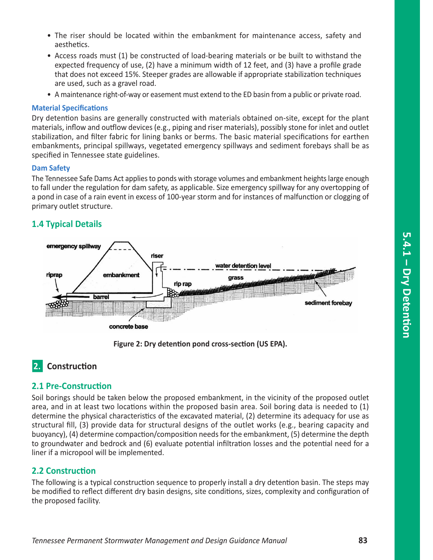- The riser should be located within the embankment for maintenance access, safety and aesthetics.
- Access roads must (1) be constructed of load-bearing materials or be built to withstand the expected frequency of use, (2) have a minimum width of 12 feet, and (3) have a profile grade that does not exceed 15%. Steeper grades are allowable if appropriate stabilization techniques are used, such as a gravel road.
- A maintenance right-of-way or easement must extend to the ED basin from a public or private road.

#### **Material Specifications**

Dry detention basins are generally constructed with materials obtained on-site, except for the plant materials, inflow and outflow devices (e.g., piping and riser materials), possibly stone for inlet and outlet stabilization, and filter fabric for lining banks or berms. The basic material specifications for earthen embankments, principal spillways, vegetated emergency spillways and sediment forebays shall be as specified in Tennessee state guidelines.

#### **Dam Safety**

The Tennessee Safe Dams Act applies to ponds with storage volumes and embankment heights large enough to fall under the regulation for dam safety, as applicable. Size emergency spillway for any overtopping of a pond in case of a rain event in excess of 100-year storm and for instances of malfunction or clogging of primary outlet structure.

### **1.4 Typical Details**



**Figure 2: Dry detention pond cross-section (US EPA).**

# **2.** Construction

#### **2.1 Pre-Construction**

Soil borings should be taken below the proposed embankment, in the vicinity of the proposed outlet area, and in at least two locations within the proposed basin area. Soil boring data is needed to (1) determine the physical characteristics of the excavated material, (2) determine its adequacy for use as structural fill, (3) provide data for structural designs of the outlet works (e.g., bearing capacity and buoyancy), (4) determine compaction/composition needs for the embankment, (5) determine the depth to groundwater and bedrock and (6) evaluate potential infiltration losses and the potential need for a liner if a micropool will be implemented.

### **2.2 Construction**

The following is a typical construction sequence to properly install a dry detention basin. The steps may be modified to reflect different dry basin designs, site conditions, sizes, complexity and configuration of the proposed facility.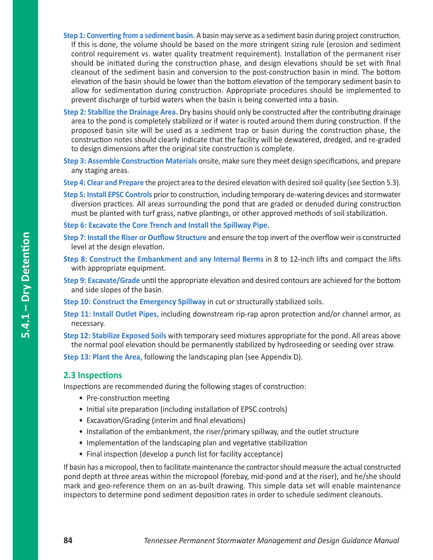- **Step 1: Converting from a sediment basin.** A basin may serve as a sediment basin during project construction. If this is done, the volume should be based on the more stringent sizing rule (erosion and sediment control requirement vs. water quality treatment requirement). Installation of the permanent riser should be initiated during the construction phase, and design elevations should be set with final cleanout of the sediment basin and conversion to the post-construction basin in mind. The bottom elevation of the basin should be lower than the bottom elevation of the temporary sediment basin to allow for sedimentation during construction. Appropriate procedures should be implemented to prevent discharge of turbid waters when the basin is being converted into a basin.
- **Step 2: Stabilize the Drainage Area.** Dry basins should only be constructed after the contributing drainage area to the pond is completely stabilized or if water is routed around them during construction. If the proposed basin site will be used as a sediment trap or basin during the construction phase, the construction notes should clearly indicate that the facility will be dewatered, dredged, and re-graded to design dimensions after the original site construction is complete.
- **Step 3: Assemble Construction Materials** onsite, make sure they meet design specifications, and prepare any staging areas.
- **Step 4: Clear and Prepare** the project area to the desired elevation with desired soil quality (see Section 5.3).
- **Step 5: Install EPSC Controls** prior to construction, including temporary de-watering devices and stormwater diversion practices. All areas surrounding the pond that are graded or denuded during construction must be planted with turf grass, native plantings, or other approved methods of soil stabilization.
- **Step 6: Excavate the Core Trench and Install the Spillway Pipe.**
- **Step 7: Install the Riser or Outflow Structure** and ensure the top invert of the overflow weir is constructed level at the design elevation.
- **Step 8: Construct the Embankment and any Internal Berms** in 8 to 12-inch lifts and compact the lifts with appropriate equipment.
- **Step 9: Excavate/Grade** until the appropriate elevation and desired contours are achieved for the bottom and side slopes of the basin.
- **Step 10: Construct the Emergency Spillway** in cut or structurally stabilized soils.
- **Step 11: Install Outlet Pipes,** including downstream rip-rap apron protection and/or channel armor, as necessary.
- **Step 12: Stabilize Exposed Soils** with temporary seed mixtures appropriate for the pond. All areas above the normal pool elevation should be permanently stabilized by hydroseeding or seeding over straw.

**Step 13: Plant the Area**, following the landscaping plan (see Appendix D).

#### **2.3 Inspections**

Inspections are recommended during the following stages of construction:

- Pre-construction meeting
- Initial site preparation (including installation of EPSC controls)
- Excavation/Grading (interim and final elevations)
- Installation of the embankment, the riser/primary spillway, and the outlet structure
- Implementation of the landscaping plan and vegetative stabilization
- Final inspection (develop a punch list for facility acceptance)

If basin has a micropool, then to facilitate maintenance the contractor should measure the actual constructed pond depth at three areas within the micropool (forebay, mid-pond and at the riser), and he/she should mark and geo-reference them on an as-built drawing. This simple data set will enable maintenance inspectors to determine pond sediment deposition rates in order to schedule sediment cleanouts.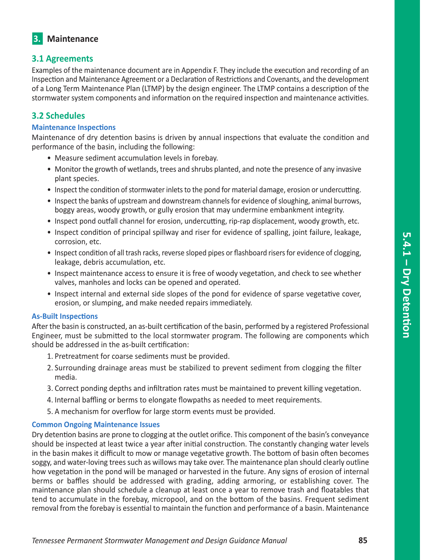# **3. Maintenance**

## **3.1 Agreements**

Examples of the maintenance document are in Appendix F. They include the execution and recording of an Inspection and Maintenance Agreement or a Declaration of Restrictions and Covenants, and the development of a Long Term Maintenance Plan (LTMP) by the design engineer. The LTMP contains a description of the stormwater system components and information on the required inspection and maintenance activities.

# **3.2 Schedules**

#### **Maintenance Inspections**

Maintenance of dry detention basins is driven by annual inspections that evaluate the condition and performance of the basin, including the following:

- Measure sediment accumulation levels in forebay.
- Monitor the growth of wetlands, trees and shrubs planted, and note the presence of any invasive plant species.
- Inspect the condition of stormwater inlets to the pond for material damage, erosion or undercutting.
- Inspect the banks of upstream and downstream channels for evidence of sloughing, animal burrows, boggy areas, woody growth, or gully erosion that may undermine embankment integrity.
- Inspect pond outfall channel for erosion, undercutting, rip-rap displacement, woody growth, etc.
- Inspect condition of principal spillway and riser for evidence of spalling, joint failure, leakage, corrosion, etc.
- Inspect condition of all trash racks, reverse sloped pipes or flashboard risers for evidence of clogging, leakage, debris accumulation, etc.
- Inspect maintenance access to ensure it is free of woody vegetation, and check to see whether valves, manholes and locks can be opened and operated.
- Inspect internal and external side slopes of the pond for evidence of sparse vegetative cover, erosion, or slumping, and make needed repairs immediately.

#### **As-Built Inspections**

After the basin is constructed, an as-built certification of the basin, performed by a registered Professional Engineer, must be submitted to the local stormwater program. The following are components which should be addressed in the as-built certification:

- 1. Pretreatment for coarse sediments must be provided.
- 2. Surrounding drainage areas must be stabilized to prevent sediment from clogging the filter media.
- 3. Correct ponding depths and infiltration rates must be maintained to prevent killing vegetation.
- 4. Internal baffling or berms to elongate flowpaths as needed to meet requirements.
- 5. A mechanism for overflow for large storm events must be provided.

#### **Common Ongoing Maintenance Issues**

Dry detention basins are prone to clogging at the outlet orifice. This component of the basin's conveyance should be inspected at least twice a year after initial construction. The constantly changing water levels in the basin makes it difficult to mow or manage vegetative growth. The bottom of basin often becomes soggy, and water-loving trees such as willows may take over. The maintenance plan should clearly outline how vegetation in the pond will be managed or harvested in the future. Any signs of erosion of internal berms or baffles should be addressed with grading, adding armoring, or establishing cover. The maintenance plan should schedule a cleanup at least once a year to remove trash and floatables that tend to accumulate in the forebay, micropool, and on the bottom of the basins. Frequent sediment removal from the forebay is essential to maintain the function and performance of a basin. Maintenance